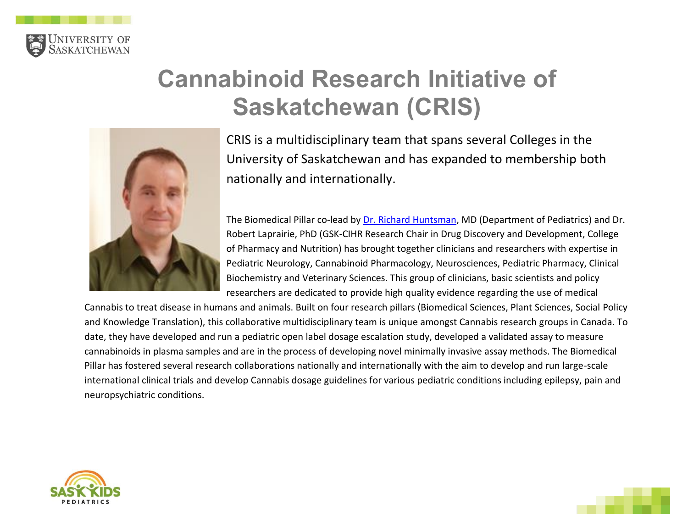

## **Cannabinoid Research Initiative of Saskatchewan (CRIS)**



CRIS is a multidisciplinary team that spans several Colleges in the University of Saskatchewan and has expanded to membership both nationally and internationally.

The Biomedical Pillar co-lead by [Dr. Richard Huntsman,](https://medicine.usask.ca/profiles/pediatric-divisions/neurology/richard-huntsman.php) MD (Department of Pediatrics) and Dr. Robert Laprairie, PhD (GSK-CIHR Research Chair in Drug Discovery and Development, College of Pharmacy and Nutrition) has brought together clinicians and researchers with expertise in Pediatric Neurology, Cannabinoid Pharmacology, Neurosciences, Pediatric Pharmacy, Clinical Biochemistry and Veterinary Sciences. This group of clinicians, basic scientists and policy researchers are dedicated to provide high quality evidence regarding the use of medical

Cannabis to treat disease in humans and animals. Built on four research pillars (Biomedical Sciences, Plant Sciences, Social Policy and Knowledge Translation), this collaborative multidisciplinary team is unique amongst Cannabis research groups in Canada. To date, they have developed and run a pediatric open label dosage escalation study, developed a validated assay to measure cannabinoids in plasma samples and are in the process of developing novel minimally invasive assay methods. The Biomedical Pillar has fostered several research collaborations nationally and internationally with the aim to develop and run large-scale international clinical trials and develop Cannabis dosage guidelines for various pediatric conditions including epilepsy, pain and neuropsychiatric conditions.